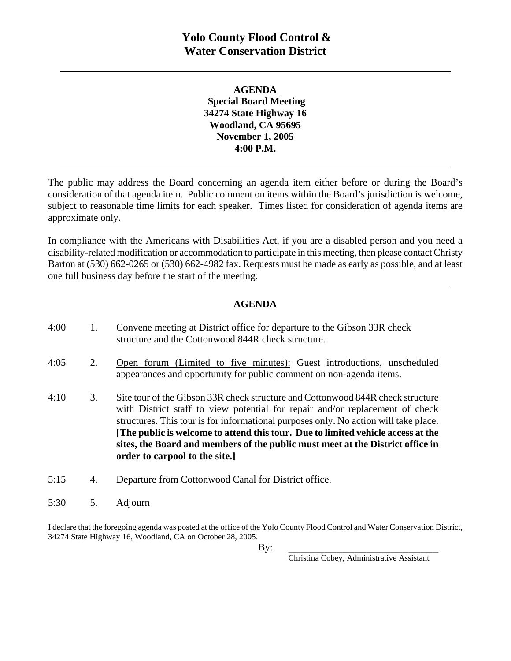**AGENDA Special Board Meeting 34274 State Highway 16 Woodland, CA 95695 November 1, 2005 4:00 P.M.** 

The public may address the Board concerning an agenda item either before or during the Board's consideration of that agenda item. Public comment on items within the Board's jurisdiction is welcome, subject to reasonable time limits for each speaker. Times listed for consideration of agenda items are approximate only.

In compliance with the Americans with Disabilities Act, if you are a disabled person and you need a disability-related modification or accommodation to participate in this meeting, then please contact Christy Barton at (530) 662-0265 or (530) 662-4982 fax. Requests must be made as early as possible, and at least one full business day before the start of the meeting.

## **AGENDA**

| 4:00 | 1. | Convene meeting at District office for departure to the Gibson 33R check<br>structure and the Cottonwood 844R check structure.                                                                                                                                                                                                                                                                                                                                  |
|------|----|-----------------------------------------------------------------------------------------------------------------------------------------------------------------------------------------------------------------------------------------------------------------------------------------------------------------------------------------------------------------------------------------------------------------------------------------------------------------|
| 4:05 | 2. | Open forum (Limited to five minutes): Guest introductions, unscheduled<br>appearances and opportunity for public comment on non-agenda items.                                                                                                                                                                                                                                                                                                                   |
| 4:10 | 3. | Site tour of the Gibson 33R check structure and Cottonwood 844R check structure<br>with District staff to view potential for repair and/or replacement of check<br>structures. This tour is for informational purposes only. No action will take place.<br>[The public is welcome to attend this tour. Due to limited vehicle access at the<br>sites, the Board and members of the public must meet at the District office in<br>order to carpool to the site.] |
| 5:15 | 4. | Departure from Cottonwood Canal for District office.                                                                                                                                                                                                                                                                                                                                                                                                            |

5:30 5. Adjourn

I declare that the foregoing agenda was posted at the office of the Yolo County Flood Control and Water Conservation District, 34274 State Highway 16, Woodland, CA on October 28, 2005.

Christina Cobey, Administrative Assistant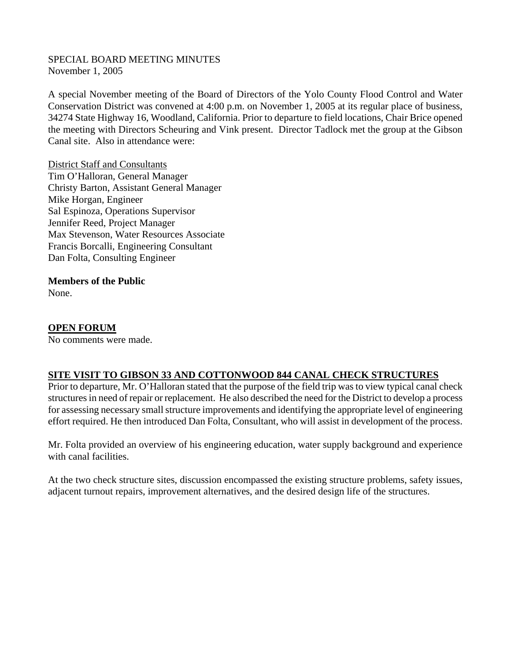#### SPECIAL BOARD MEETING MINUTES November 1, 2005

A special November meeting of the Board of Directors of the Yolo County Flood Control and Water Conservation District was convened at 4:00 p.m. on November 1, 2005 at its regular place of business, 34274 State Highway 16, Woodland, California. Prior to departure to field locations, Chair Brice opened the meeting with Directors Scheuring and Vink present. Director Tadlock met the group at the Gibson Canal site. Also in attendance were:

District Staff and Consultants Tim O'Halloran, General Manager Christy Barton, Assistant General Manager Mike Horgan, Engineer Sal Espinoza, Operations Supervisor Jennifer Reed, Project Manager Max Stevenson, Water Resources Associate Francis Borcalli, Engineering Consultant Dan Folta, Consulting Engineer

# **Members of the Public**

None.

### **OPEN FORUM**

No comments were made.

### **SITE VISIT TO GIBSON 33 AND COTTONWOOD 844 CANAL CHECK STRUCTURES**

Prior to departure, Mr. O'Halloran stated that the purpose of the field trip was to view typical canal check structures in need of repair or replacement. He also described the need for the District to develop a process for assessing necessary small structure improvements and identifying the appropriate level of engineering effort required. He then introduced Dan Folta, Consultant, who will assist in development of the process.

Mr. Folta provided an overview of his engineering education, water supply background and experience with canal facilities.

At the two check structure sites, discussion encompassed the existing structure problems, safety issues, adjacent turnout repairs, improvement alternatives, and the desired design life of the structures.